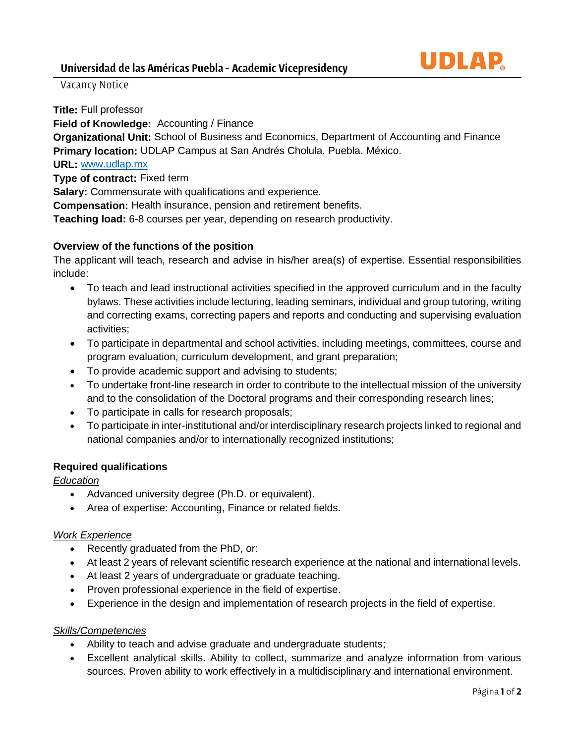Vacancy Notice

**Title:** Full professor **Field of Knowledge:** Accounting / Finance **Organizational Unit:** School of Business and Economics, Department of Accounting and Finance **Primary location:** UDLAP Campus at San Andrés Cholula, Puebla. México. **URL:** [www.udlap.mx](http://www.udlap.mx/) **Type of contract:** Fixed term

**Salary:** Commensurate with qualifications and experience.

**Compensation:** Health insurance, pension and retirement benefits.

**Teaching load:** 6-8 courses per year, depending on research productivity.

### **Overview of the functions of the position**

The applicant will teach, research and advise in his/her area(s) of expertise. Essential responsibilities include:

- To teach and lead instructional activities specified in the approved curriculum and in the faculty bylaws. These activities include lecturing, leading seminars, individual and group tutoring, writing and correcting exams, correcting papers and reports and conducting and supervising evaluation activities;
- To participate in departmental and school activities, including meetings, committees, course and program evaluation, curriculum development, and grant preparation;
- To provide academic support and advising to students;
- To undertake front-line research in order to contribute to the intellectual mission of the university and to the consolidation of the Doctoral programs and their corresponding research lines;
- To participate in calls for research proposals;
- To participate in inter-institutional and/or interdisciplinary research projects linked to regional and national companies and/or to internationally recognized institutions;

### **Required qualifications**

### *Education*

- Advanced university degree (Ph.D. or equivalent).
- Area of expertise: Accounting, Finance or related fields.

### *Work Experience*

- Recently graduated from the PhD, or:
- At least 2 years of relevant scientific research experience at the national and international levels.
- At least 2 years of undergraduate or graduate teaching.
- Proven professional experience in the field of expertise.
- Experience in the design and implementation of research projects in the field of expertise.

### *Skills/Competencies*

- Ability to teach and advise graduate and undergraduate students;
- Excellent analytical skills. Ability to collect, summarize and analyze information from various sources. Proven ability to work effectively in a multidisciplinary and international environment.